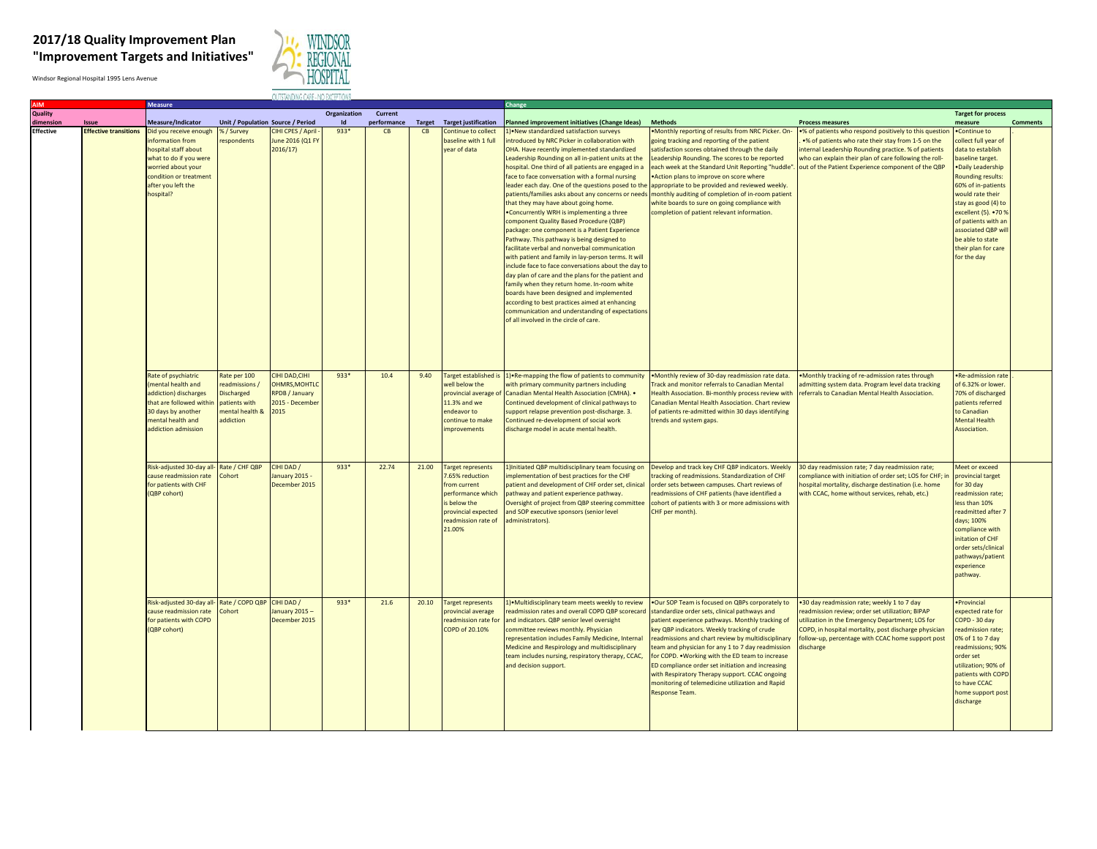## **2017/18 Quality Improvement Plan "Improvement Targets and Initiatives"**



Windsor Regional Hospital 1995 Lens Avenue

|           |                              | <b>Measure</b>                          |                                   |                   |              |             |       |                             | <b>Change</b>                                                      |                                                       |                                                          |                           |                 |
|-----------|------------------------------|-----------------------------------------|-----------------------------------|-------------------|--------------|-------------|-------|-----------------------------|--------------------------------------------------------------------|-------------------------------------------------------|----------------------------------------------------------|---------------------------|-----------------|
| Quality   |                              |                                         |                                   |                   | Organization | Current     |       |                             |                                                                    |                                                       |                                                          | <b>Target for process</b> |                 |
| dimensior | <b>Issue</b>                 | Measure/Indicator                       | Unit / Population Source / Period |                   | Id           | performance |       | Target Target justification | Planned improvement initiatives (Change Ideas)                     | <b>Methods</b>                                        | <b>Process measures</b>                                  | measure                   | <b>Comments</b> |
| Effective | <b>Effective transitions</b> | Did you receive enough                  | %/Survey                          | CIHI CPES / April | $933*$       | CB          | CB    | Continue to collect         | 1) • New standardized satisfaction surveys                         | . Monthly reporting of results from NRC Picker. On-   | .% of patients who respond positively to this question   | Continue to               |                 |
|           |                              | nformation from                         | espondents                        | June 2016 (Q1 FY  |              |             |       | baseline with 1 full        | ntroduced by NRC Picker in collaboration with                      | going tracking and reporting of the patient           | .% of patients who rate their stay from 1-5 on the       | collect full year of      |                 |
|           |                              | hospital staff about                    |                                   | 2016/17)          |              |             |       | year of data                | OHA. Have recently implemented standardized                        | satisfaction scores obtained through the daily        | internal Leadership Rounding practice. % of patients     | data to establish         |                 |
|           |                              | what to do if you were                  |                                   |                   |              |             |       |                             | Leadership Rounding on all in-patient units at the                 | Leadership Rounding. The scores to be reported        | who can explain their plan of care following the roll-   | baseline target.          |                 |
|           |                              | worried about your                      |                                   |                   |              |             |       |                             | hospital. One third of all patients are engaged in a               | each week at the Standard Unit Reporting "huddle".    | out of the Patient Experience component of the QBP       | . Daily Leadership        |                 |
|           |                              | condition or treatment                  |                                   |                   |              |             |       |                             | face to face conversation with a formal nursing                    | . Action plans to improve on score where              |                                                          | Rounding results:         |                 |
|           |                              | after you left the                      |                                   |                   |              |             |       |                             | leader each day. One of the questions posed to the                 | appropriate to be provided and reviewed weekly.       |                                                          | 60% of in-patients        |                 |
|           |                              | ospital?                                |                                   |                   |              |             |       |                             | patients/families asks about any concerns or needs                 | monthly auditing of completion of in-room patient     |                                                          | would rate their          |                 |
|           |                              |                                         |                                   |                   |              |             |       |                             | that they may have about going home.                               | white boards to sure on going compliance with         |                                                          | stay as good (4) to       |                 |
|           |                              |                                         |                                   |                   |              |             |       |                             | . Concurrently WRH is implementing a three                         | completion of patient relevant information.           |                                                          | excellent (5). • 70 %     |                 |
|           |                              |                                         |                                   |                   |              |             |       |                             | component Quality Based Procedure (QBP)                            |                                                       |                                                          | of patients with an       |                 |
|           |                              |                                         |                                   |                   |              |             |       |                             | package: one component is a Patient Experience                     |                                                       |                                                          | associated QBP wil        |                 |
|           |                              |                                         |                                   |                   |              |             |       |                             | Pathway. This pathway is being designed to                         |                                                       |                                                          | be able to state          |                 |
|           |                              |                                         |                                   |                   |              |             |       |                             | facilitate verbal and nonverbal communication                      |                                                       |                                                          | their plan for care       |                 |
|           |                              |                                         |                                   |                   |              |             |       |                             |                                                                    |                                                       |                                                          | for the day               |                 |
|           |                              |                                         |                                   |                   |              |             |       |                             | with patient and family in lay-person terms. It will               |                                                       |                                                          |                           |                 |
|           |                              |                                         |                                   |                   |              |             |       |                             | nclude face to face conversations about the day to                 |                                                       |                                                          |                           |                 |
|           |                              |                                         |                                   |                   |              |             |       |                             | lay plan of care and the plans for the patient and                 |                                                       |                                                          |                           |                 |
|           |                              |                                         |                                   |                   |              |             |       |                             | amily when they return home. In-room white                         |                                                       |                                                          |                           |                 |
|           |                              |                                         |                                   |                   |              |             |       |                             | boards have been designed and implemented                          |                                                       |                                                          |                           |                 |
|           |                              |                                         |                                   |                   |              |             |       |                             | according to best practices aimed at enhancing                     |                                                       |                                                          |                           |                 |
|           |                              |                                         |                                   |                   |              |             |       |                             | communication and understanding of expectations                    |                                                       |                                                          |                           |                 |
|           |                              |                                         |                                   |                   |              |             |       |                             | of all involved in the circle of care.                             |                                                       |                                                          |                           |                 |
|           |                              |                                         |                                   |                   |              |             |       |                             |                                                                    |                                                       |                                                          |                           |                 |
|           |                              |                                         |                                   |                   |              |             |       |                             |                                                                    |                                                       |                                                          |                           |                 |
|           |                              |                                         |                                   |                   |              |             |       |                             |                                                                    |                                                       |                                                          |                           |                 |
|           |                              |                                         |                                   |                   |              |             |       |                             |                                                                    |                                                       |                                                          |                           |                 |
|           |                              |                                         |                                   |                   |              |             |       |                             |                                                                    |                                                       |                                                          |                           |                 |
|           |                              | Rate of psychiatric                     | Rate per 100                      | CIHI DAD, CIHI    | $933*$       | 10.4        | 9.40  | Target established is       | 1) - Re-mapping the flow of patients to community                  | . Monthly review of 30-day readmission rate data.     | . Monthly tracking of re-admission rates through         | ·Re-admission rate        |                 |
|           |                              | mental health and                       | readmissions /                    | OHMRS.MOHTLC      |              |             |       | well below the              | with primary community partners including                          | <b>Track and monitor referrals to Canadian Mental</b> | admitting system data. Program level data tracking       | of 6.32% or lower.        |                 |
|           |                              | addiction) discharges                   | <b>Discharged</b>                 | RPDB / January    |              |             |       |                             | provincial average of Canadian Mental Health Association (CMHA). . | Health Association. Bi-monthly process review with    | referrals to Canadian Mental Health Association.         | 70% of discharged         |                 |
|           |                              | hat are followed withir                 | patients with                     | 2015 - Decembe    |              |             |       | 11.3% and we                | Continued development of clinical pathways to                      | Canadian Mental Health Association. Chart review      |                                                          | patients referred         |                 |
|           |                              | O days by another                       | nental health &                   | 2015              |              |             |       | ndeavor to                  | support relapse prevention post-discharge. 3.                      | of patients re-admitted within 30 days identifying    |                                                          | to Canadian               |                 |
|           |                              | ental health and                        | addiction                         |                   |              |             |       | ontinue to make             | Continued re-development of social work                            | trends and system gaps.                               |                                                          | <b>Mental Health</b>      |                 |
|           |                              | addiction admission                     |                                   |                   |              |             |       | <i>improvements</i>         | discharge model in acute mental health.                            |                                                       |                                                          | Association.              |                 |
|           |                              |                                         |                                   |                   |              |             |       |                             |                                                                    |                                                       |                                                          |                           |                 |
|           |                              |                                         |                                   |                   |              |             |       |                             |                                                                    |                                                       |                                                          |                           |                 |
|           |                              |                                         |                                   |                   |              |             |       |                             |                                                                    |                                                       |                                                          |                           |                 |
|           |                              |                                         |                                   |                   |              |             |       |                             |                                                                    |                                                       |                                                          |                           |                 |
|           |                              | Risk-adjusted 30-day all-Rate / CHF QBP |                                   | CIHI DAD /        | $933*$       | 22.74       | 21.00 | <b>Target represents</b>    | 1) Initiated QBP multidisciplinary team focusing on                | Develop and track key CHF QBP indicators. Weekly      | 30 day readmission rate; 7 day readmission rate;         | Meet or exceed            |                 |
|           |                              | cause readmission rate                  | Cohort                            | January 2015 -    |              |             |       | .65% reduction              | implementation of best practices for the CHF                       | tracking of readmissions. Standardization of CHF      | compliance with initiation of order set; LOS for CHF; in | provincial target         |                 |
|           |                              | for patients with CHF                   |                                   | December 2015     |              |             |       | from current                | patient and development of CHF order set, clinical                 | order sets between campuses. Chart reviews of         | hospital mortality, discharge destination (i.e. home     | for 30 day                |                 |
|           |                              | (QBP cohort)                            |                                   |                   |              |             |       | performance which           | pathway and patient experience pathway.                            | readmissions of CHF patients (have identified a       | with CCAC, home without services, rehab, etc.)           | readmission rate;         |                 |
|           |                              |                                         |                                   |                   |              |             |       | is helow the                | Oversight of project from QBP steering committee                   | cohort of patients with 3 or more admissions with     |                                                          | less than 10%             |                 |
|           |                              |                                         |                                   |                   |              |             |       | provincial expected         | and SOP executive sponsors (senior level                           | CHF per month).                                       |                                                          | readmitted after 7        |                 |
|           |                              |                                         |                                   |                   |              |             |       | readmission rate of         | administrators).                                                   |                                                       |                                                          | days; 100%                |                 |
|           |                              |                                         |                                   |                   |              |             |       | 21.00%                      |                                                                    |                                                       |                                                          | compliance with           |                 |
|           |                              |                                         |                                   |                   |              |             |       |                             |                                                                    |                                                       |                                                          | nitation of CHF           |                 |
|           |                              |                                         |                                   |                   |              |             |       |                             |                                                                    |                                                       |                                                          | order sets/clinical       |                 |
|           |                              |                                         |                                   |                   |              |             |       |                             |                                                                    |                                                       |                                                          | pathways/patient          |                 |
|           |                              |                                         |                                   |                   |              |             |       |                             |                                                                    |                                                       |                                                          | experience                |                 |
|           |                              |                                         |                                   |                   |              |             |       |                             |                                                                    |                                                       |                                                          | pathway.                  |                 |
|           |                              |                                         |                                   |                   |              |             |       |                             |                                                                    |                                                       |                                                          |                           |                 |
|           |                              |                                         |                                   |                   |              |             |       |                             |                                                                    |                                                       |                                                          |                           |                 |
|           |                              | Risk-adjusted 30-day all-               | Rate / COPD QBP                   | CIHI DAD /        | $933*$       | 21.6        | 20.10 | <b>Target represents</b>    | 1) • Multidisciplinary team meets weekly to review                 | .Our SOP Team is focused on QBPs corporately to       | .30 day readmission rate; weekly 1 to 7 day              | · Provincial              |                 |
|           |                              | ause readmission rate                   | Cohort                            | anuary 2015-      |              |             |       | provincial average          | readmission rates and overall COPD QBP scorecard                   | standardize order sets, clinical pathways and         | readmission review; order set utilization; BIPAP         | expected rate for         |                 |
|           |                              | for patients with COPD                  |                                   | December 2015     |              |             |       | readmission rate for        | and indicators. QBP senior level oversight                         | patient experience pathways. Monthly tracking of      | utilization in the Emergency Department; LOS for         | COPD - 30 day             |                 |
|           |                              | QBP cohort)                             |                                   |                   |              |             |       | COPD of 20.10%              | committee reviews monthly. Physician                               | key QBP indicators. Weekly tracking of crude          | COPD, in hospital mortality, post discharge physician    | readmission rate;         |                 |
|           |                              |                                         |                                   |                   |              |             |       |                             | representation includes Family Medicine, Internal                  | readmissions and chart review by multidisciplinary    | follow-up, percentage with CCAC home support post        | 0% of 1 to 7 day          |                 |
|           |                              |                                         |                                   |                   |              |             |       |                             | Medicine and Respirology and multidisciplinary                     | team and physician for any 1 to 7 day readmission     | discharge                                                | readmissions; 90%         |                 |
|           |                              |                                         |                                   |                   |              |             |       |                             |                                                                    | for COPD. . Working with the ED team to increase      |                                                          | order set                 |                 |
|           |                              |                                         |                                   |                   |              |             |       |                             | team includes nursing, respiratory therapy, CCAC,                  | ED compliance order set initiation and increasing     |                                                          | utilization; 90% of       |                 |
|           |                              |                                         |                                   |                   |              |             |       |                             | and decision support.                                              |                                                       |                                                          |                           |                 |
|           |                              |                                         |                                   |                   |              |             |       |                             |                                                                    | with Respiratory Therapy support. CCAC ongoing        |                                                          | patients with COPI        |                 |
|           |                              |                                         |                                   |                   |              |             |       |                             |                                                                    | monitoring of telemedicine utilization and Rapid      |                                                          | to have CCAC              |                 |
|           |                              |                                         |                                   |                   |              |             |       |                             |                                                                    | Response Team.                                        |                                                          | nome support pos          |                 |
|           |                              |                                         |                                   |                   |              |             |       |                             |                                                                    |                                                       |                                                          | discharge                 |                 |
|           |                              |                                         |                                   |                   |              |             |       |                             |                                                                    |                                                       |                                                          |                           |                 |
|           |                              |                                         |                                   |                   |              |             |       |                             |                                                                    |                                                       |                                                          |                           |                 |
|           |                              |                                         |                                   |                   |              |             |       |                             |                                                                    |                                                       |                                                          |                           |                 |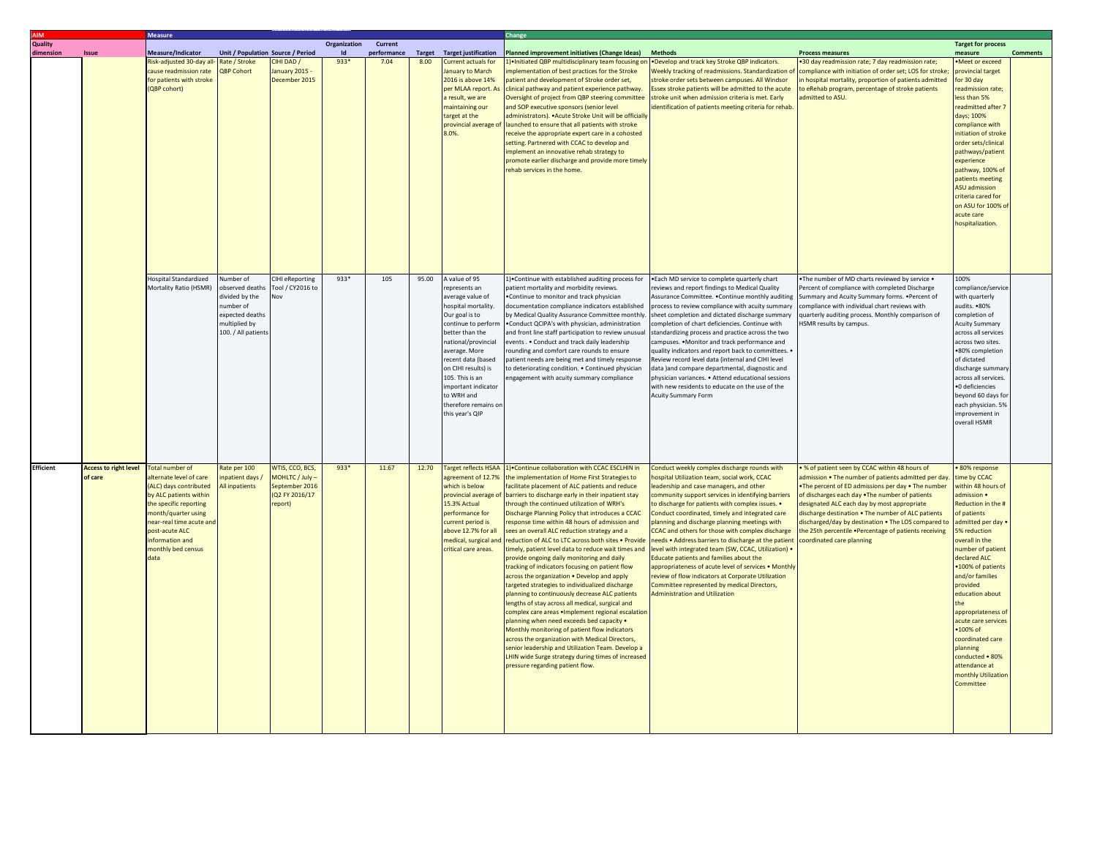|                  |                                         | <b>Measure</b>                                                                                                                                                                                                                                        |                                                                                                                      |                                                                                  |              |                     |       |                                                                                                                                                                                                                                                                                                                             | Change                                                                                                                                                                                                                                                                                                                                                                                                                                                                                                                                                                                                                                                                                                                                                                                                                                                                                                                                                                                                                                                                                                                                                                            |                                                                                                                                                                                                                                                                                                                                                                                                                                                                                                                                                                                                                                                                                                                                                                          |                                                                                                                                                                                                                                                                                                                                                                                                                                                                |                                                                                                                                                                                                                                                                                                                                                                                                                                            |                 |
|------------------|-----------------------------------------|-------------------------------------------------------------------------------------------------------------------------------------------------------------------------------------------------------------------------------------------------------|----------------------------------------------------------------------------------------------------------------------|----------------------------------------------------------------------------------|--------------|---------------------|-------|-----------------------------------------------------------------------------------------------------------------------------------------------------------------------------------------------------------------------------------------------------------------------------------------------------------------------------|-----------------------------------------------------------------------------------------------------------------------------------------------------------------------------------------------------------------------------------------------------------------------------------------------------------------------------------------------------------------------------------------------------------------------------------------------------------------------------------------------------------------------------------------------------------------------------------------------------------------------------------------------------------------------------------------------------------------------------------------------------------------------------------------------------------------------------------------------------------------------------------------------------------------------------------------------------------------------------------------------------------------------------------------------------------------------------------------------------------------------------------------------------------------------------------|--------------------------------------------------------------------------------------------------------------------------------------------------------------------------------------------------------------------------------------------------------------------------------------------------------------------------------------------------------------------------------------------------------------------------------------------------------------------------------------------------------------------------------------------------------------------------------------------------------------------------------------------------------------------------------------------------------------------------------------------------------------------------|----------------------------------------------------------------------------------------------------------------------------------------------------------------------------------------------------------------------------------------------------------------------------------------------------------------------------------------------------------------------------------------------------------------------------------------------------------------|--------------------------------------------------------------------------------------------------------------------------------------------------------------------------------------------------------------------------------------------------------------------------------------------------------------------------------------------------------------------------------------------------------------------------------------------|-----------------|
| <b>Quality</b>   |                                         |                                                                                                                                                                                                                                                       |                                                                                                                      |                                                                                  | Organization | Current             |       |                                                                                                                                                                                                                                                                                                                             |                                                                                                                                                                                                                                                                                                                                                                                                                                                                                                                                                                                                                                                                                                                                                                                                                                                                                                                                                                                                                                                                                                                                                                                   |                                                                                                                                                                                                                                                                                                                                                                                                                                                                                                                                                                                                                                                                                                                                                                          |                                                                                                                                                                                                                                                                                                                                                                                                                                                                | <b>Target for process</b>                                                                                                                                                                                                                                                                                                                                                                                                                  |                 |
| limension        | Issue                                   | Measure/Indicator<br>Risk-adjusted 30-day all<br>cause readmission rate<br>for patients with stroke<br>(QBP cohort)                                                                                                                                   | Unit / Population Source / Period<br>Rate / Stroke<br>QBP Cohort                                                     | IHI DAD /<br>anuary 2015<br>December 2015                                        | 933*         | performance<br>7.04 | 8.00  | <b>Target</b> Target justification<br>Current actuals for<br>anuary to March<br>2016 is above 14%<br>per MLAA report. As<br>a result, we are<br>maintaining our<br>target at the<br>provincial average c<br>8.0%.                                                                                                           | Planned improvement initiatives (Change Ideas)<br>) Initiated QBP multidisciplinary team focusing o<br>nplementation of best practices for the Stroke<br>patient and development of Stroke order set,<br>clinical pathway and patient experience pathway.<br>Oversight of project from QBP steering committee<br>and SOP executive sponsors (senior level<br>administrators). . Acute Stroke Unit will be officially<br>launched to ensure that all patients with stroke<br>eceive the appropriate expert care in a cohosted<br>setting. Partnered with CCAC to develop and<br>mplement an innovative rehab strategy to<br>promote earlier discharge and provide more timely<br>ehab services in the home.                                                                                                                                                                                                                                                                                                                                                                                                                                                                        | <b>Methods</b><br>Develop and track key Stroke QBP indicators.<br><b>Neekly tracking of readmissions. Standardization of</b><br>stroke order sets between campuses. All Windsor<br>Essex stroke patients will be admitted to the acute<br>stroke unit when admission criteria is met. Early<br>dentification of patients meeting criteria for rehab                                                                                                                                                                                                                                                                                                                                                                                                                      | <b>Process measures</b><br>30 day readmission rate; 7 day readmission rate;<br>compliance with initiation of order set; LOS for stroke<br>n hospital mortality, proportion of patients admitted<br>to eRehab program, percentage of stroke patients<br>admitted to ASU.                                                                                                                                                                                        | measure<br>Meet or exceed<br>provincial target<br>for 30 day<br>readmission rate;<br>less than 5%<br>readmitted after 7<br>days; 100%<br>compliance with<br>initiation of stroke<br>order sets/clinica<br>pathways/patient<br>experience<br>pathway, 100% of<br>patients meeting<br><b>ASU</b> admission<br>criteria cared for<br>on ASU for 100% o<br>acute care<br>hospitalization.                                                      | <b>Comments</b> |
|                  |                                         | lospital Standardized<br>Mortality Ratio (HSMR)                                                                                                                                                                                                       | lumber of<br>bserved deaths<br>divided by the<br>umber of<br>expected deaths<br>multiplied by<br>100. / All patients | CIHI eReporting<br>Tool / CY2016 to                                              | 933*         | 105                 | 95.00 | A value of 95<br>epresents an<br>average value of<br>hospital mortality.<br>Our goal is to<br>continue to perforr<br>better than the<br>national/provincial<br>average. More<br>recent data (based<br>on CIHI results) is<br>105. This is an<br>mportant indicator<br>to WRH and<br>therefore remains or<br>this year's QIP | DeContinue with established auditing process for<br>vatient mortality and morbidity reviews.<br>Continue to monitor and track physician<br>documentation compliance indicators established<br>by Medical Quality Assurance Committee monthly<br>. Conduct QCIPA's with physician, administration<br>and front line staff participation to review unusual<br>events Conduct and track daily leadership<br>ounding and comfort care rounds to ensure<br>patient needs are being met and timely response<br>to deteriorating condition. . Continued physician<br>ngagement with acuity summary compliance                                                                                                                                                                                                                                                                                                                                                                                                                                                                                                                                                                            | . Each MD service to complete quarterly chart<br>eviews and report findings to Medical Quality<br>Assurance Committee. . Continue monthly auditing<br>process to review compliance with acuity summary<br>heet completion and dictated discharge summary<br>completion of chart deficiencies. Continue with<br>standardizing process and practice across the two<br>campuses. . Monitor and track performance and<br>quality indicators and report back to committees.<br>Review record level data (internal and CIHI level<br>data land compare departmental, diagnostic and<br>physician variances. . Attend educational sessions<br>vith new residents to educate on the use of the<br><b>Acuity Summary Form</b>                                                     | The number of MD charts reviewed by service .<br>ercent of compliance with completed Discharge<br>Summary and Acuity Summary forms. . Percent of<br>compliance with individual chart reviews with<br>quarterly auditing process. Monthly comparison of<br>HSMR results by campus.                                                                                                                                                                              | 100%<br>ompliance/servic<br>with quarterly<br>audits. •80%<br>omnletion of<br><b>Acuity Summary</b><br>across all services<br>across two sites.<br>•80% completion<br>of dictated<br>discharge summar<br>across all services.<br>·0 deficiencies<br>eyond 60 days for<br>each physician. 5%<br>improvement in<br>overall HSMR                                                                                                              |                 |
| <b>Efficient</b> | <b>Access to right level</b><br>of care | <b>Total number of</b><br>alternate level of care<br>(ALC) days contributed<br>by ALC patients within<br>the specific reporting<br>nonth/quarter using<br>near-real time acute and<br>post-acute ALC<br>information and<br>monthly bed census<br>data | Rate per 100<br>patient days /<br><b>Ill</b> inpatients                                                              | WTIS, CCO, BCS,<br>MOHLTC / July -<br>September 2016<br>(Q2 FY 2016/17<br>eport) | 933*         | 11.67               | 12.70 | Target reflects HSAA<br>agreement of 12.7%<br>which is below<br>provincial average<br>15.3% Actual<br>performance for<br>current period is<br>above 12.7% for all<br>medical, surgical and<br>critical care areas.                                                                                                          | 1) Continue collaboration with CCAC ESCLHIN in<br>he implementation of Home First Strategies to<br>acilitate placement of ALC patients and reduce<br>barriers to discharge early in their inpatient stay<br>hrough the continued utilization of WRH's<br>Discharge Planning Policy that introduces a CCAC<br>esponse time within 48 hours of admission and<br>sees an overall ALC reduction strategy and a<br>reduction of ALC to LTC across both sites . Provide<br>timely, patient level data to reduce wait times and<br>provide ongoing daily monitoring and daily<br>racking of indicators focusing on patient flow<br>across the organization . Develop and apply<br>argeted strategies to individualized discharge<br>lanning to continuously decrease ALC patients<br>engths of stay across all medical, surgical and<br>omplex care areas . Implement regional escalation<br>planning when need exceeds bed capacity .<br>Monthly monitoring of patient flow indicators<br>across the organization with Medical Directors,<br>senior leadership and Utilization Team. Develop a<br>HIN wide Surge strategy during times of increased<br>pressure regarding patient flow. | Conduct weekly complex discharge rounds with<br>ospital Utilization team, social work, CCAC<br>leadership and case managers, and other<br>community support services in identifying barriers<br>o discharge for patients with complex issues. .<br>Conduct coordinated, timely and integrated care<br>planning and discharge planning meetings with<br>CCAC and others for those with complex discharge<br>needs . Address barriers to discharge at the patient<br>level with integrated team (SW, CCAC, Utilization) .<br>Educate patients and families about the<br>appropriateness of acute level of services . Monthly<br>review of flow indicators at Corporate Utilization<br>Committee represented by medical Directors,<br><b>Administration and Utilization</b> | % of patient seen by CCAC within 48 hours of<br>admission . The number of patients admitted per day.<br>The percent of ED admissions per day . The number<br>of discharges each day . The number of patients<br>designated ALC each day by most appropriate<br>discharge destination . The number of ALC patients<br>discharged/day by destination . The LOS compared to<br>the 25th percentile .Percentage of patients receiving<br>coordinated care planning | 80% response<br>time by CCAC<br>within 48 hours of<br>dmission •<br>Reduction in the #<br>of patients<br>admitted per day .<br>5% reduction<br>overall in the<br>number of patient<br>declared ALC<br>.100% of patients<br>and/or families<br>provided<br>education about<br>appropriateness of<br>acute care services<br>•100% of<br>coordinated care<br>planning<br>conducted • 80%<br>attendance at<br>monthly Utilization<br>Committee |                 |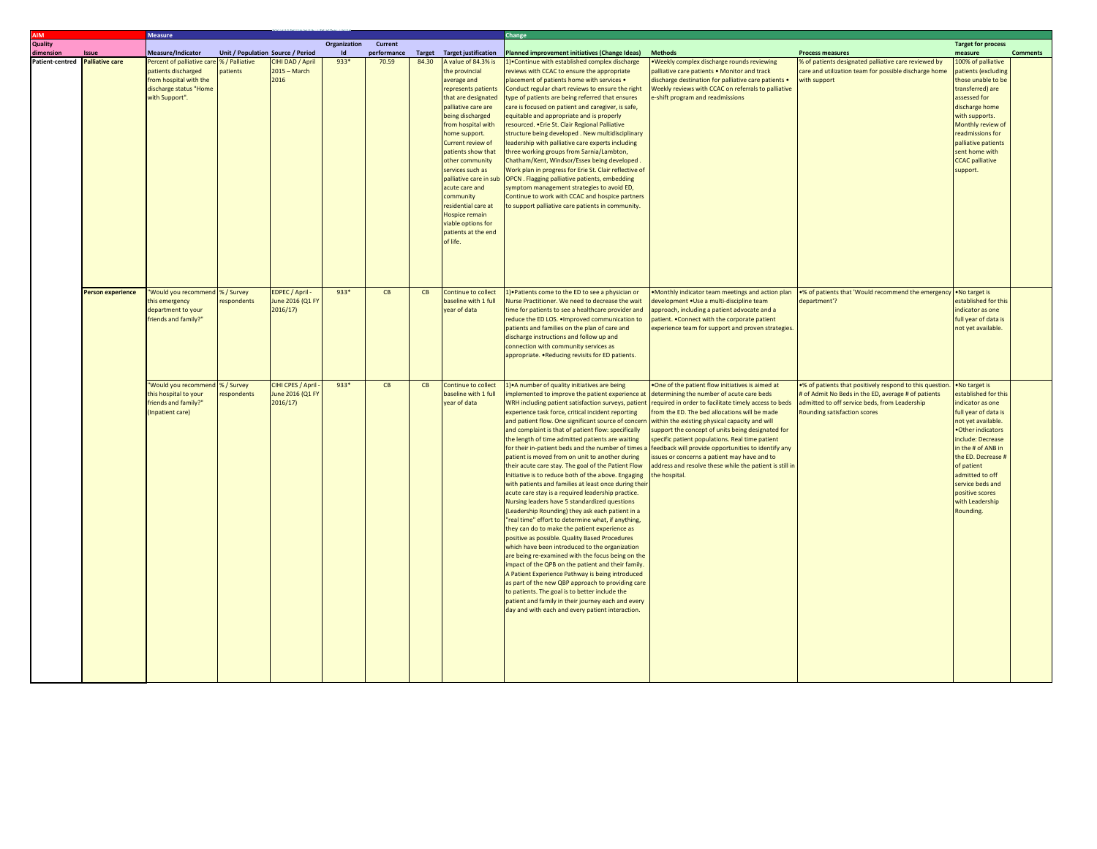| <b>AIM</b>      |                          | <b>Measure</b>                                                                                                          |                                   |                                                   |              |             | Change |                                                                                                                                                                                                                                                                                                                                                                                                                                         |                                                                                                                                                                                                                                                                                                                                                                                                                                                                                                                                                                                                                                                                                                                                                                                                                                                                                                                                                                                                                                                                                                                                                                                                                                                                                                                                                                                                                      |                                                                                                                                                                                                                                                                                                                                                                                                                                                                                                                                                     |                                                                                                                                                                                                         |                                                                                                                                                                                                                                                                                                        |                 |
|-----------------|--------------------------|-------------------------------------------------------------------------------------------------------------------------|-----------------------------------|---------------------------------------------------|--------------|-------------|--------|-----------------------------------------------------------------------------------------------------------------------------------------------------------------------------------------------------------------------------------------------------------------------------------------------------------------------------------------------------------------------------------------------------------------------------------------|----------------------------------------------------------------------------------------------------------------------------------------------------------------------------------------------------------------------------------------------------------------------------------------------------------------------------------------------------------------------------------------------------------------------------------------------------------------------------------------------------------------------------------------------------------------------------------------------------------------------------------------------------------------------------------------------------------------------------------------------------------------------------------------------------------------------------------------------------------------------------------------------------------------------------------------------------------------------------------------------------------------------------------------------------------------------------------------------------------------------------------------------------------------------------------------------------------------------------------------------------------------------------------------------------------------------------------------------------------------------------------------------------------------------|-----------------------------------------------------------------------------------------------------------------------------------------------------------------------------------------------------------------------------------------------------------------------------------------------------------------------------------------------------------------------------------------------------------------------------------------------------------------------------------------------------------------------------------------------------|---------------------------------------------------------------------------------------------------------------------------------------------------------------------------------------------------------|--------------------------------------------------------------------------------------------------------------------------------------------------------------------------------------------------------------------------------------------------------------------------------------------------------|-----------------|
| Quality         |                          |                                                                                                                         |                                   |                                                   | Organization | Current     |        |                                                                                                                                                                                                                                                                                                                                                                                                                                         |                                                                                                                                                                                                                                                                                                                                                                                                                                                                                                                                                                                                                                                                                                                                                                                                                                                                                                                                                                                                                                                                                                                                                                                                                                                                                                                                                                                                                      |                                                                                                                                                                                                                                                                                                                                                                                                                                                                                                                                                     |                                                                                                                                                                                                         | <b>Target for process</b>                                                                                                                                                                                                                                                                              |                 |
| dimension       | Issue                    | Measure/Indicator                                                                                                       | Unit / Population Source / Period |                                                   |              | performance |        | <b>Target</b> Target justification                                                                                                                                                                                                                                                                                                                                                                                                      | Planned improvement initiatives (Change Ideas)                                                                                                                                                                                                                                                                                                                                                                                                                                                                                                                                                                                                                                                                                                                                                                                                                                                                                                                                                                                                                                                                                                                                                                                                                                                                                                                                                                       | <b>Methods</b>                                                                                                                                                                                                                                                                                                                                                                                                                                                                                                                                      | <b>Process measures</b>                                                                                                                                                                                 | measure                                                                                                                                                                                                                                                                                                | <b>Comments</b> |
| Patient-centred | <b>Palliative care</b>   | Percent of palliative care<br>patients discharged<br>from hospital with the<br>discharge status "Home<br>with Support". | % / Palliative<br>natients        | CIHI DAD / April<br>$2015 - March$<br>2016        | $933*$       | 70.59       | 84.30  | A value of 84.3% is<br>the provincial<br>average and<br>represents patients<br>that are designated<br>palliative care are<br>being discharged<br>rom hospital with<br>nome support.<br>Current review of<br>patients show that<br>other community<br>services such as<br>palliative care in sub<br>acute care and<br>community<br>residential care at<br><b>Hospice remain</b><br>viable options for<br>patients at the end<br>of life. | 1) Continue with established complex discharge<br>reviews with CCAC to ensure the appropriate<br>placement of patients home with services .<br>Conduct regular chart reviews to ensure the right<br>type of patients are being referred that ensures<br>care is focused on patient and caregiver, is safe,<br>equitable and appropriate and is properly<br>resourced. . Erie St. Clair Regional Palliative<br>structure being developed. New multidisciplinary<br>leadership with palliative care experts including<br>three working groups from Sarnia/Lambton,<br>Chatham/Kent, Windsor/Essex being developed.<br>Work plan in progress for Erie St. Clair reflective of<br>OPCN . Flagging palliative patients, embedding<br>symptom management strategies to avoid ED,<br>Continue to work with CCAC and hospice partners<br>to support palliative care patients in community.                                                                                                                                                                                                                                                                                                                                                                                                                                                                                                                                   | <b>Weekly complex discharge rounds reviewing</b><br>palliative care patients . Monitor and track<br>discharge destination for palliative care patients .<br>Weekly reviews with CCAC on referrals to palliative<br>e-shift program and readmissions                                                                                                                                                                                                                                                                                                 | % of patients designated palliative care reviewed by<br>care and utilization team for possible discharge home<br>with support                                                                           | 100% of palliative<br>patients (excluding<br>those unable to be<br>transferred) are<br>assessed for<br>discharge home<br>with supports.<br>Monthly review of<br>readmissions for<br>palliative patients<br>sent home with<br><b>CCAC</b> palliative<br>support.                                        |                 |
|                 | <b>Person experience</b> | "Would you recommend<br>this emergency<br>department to your<br>friends and family?"                                    | %/Survey<br>respondents           | EDPEC / April -<br>June 2016 (Q1 FY<br>2016/17)   | $933*$       | CB          | CB     | Continue to collect<br>baseline with 1 full<br>vear of data                                                                                                                                                                                                                                                                                                                                                                             | 1) Patients come to the ED to see a physician or<br>Nurse Practitioner. We need to decrease the wait<br>time for patients to see a healthcare provider and<br>reduce the ED LOS. . Improved communication to<br>patients and families on the plan of care and<br>discharge instructions and follow up and<br>connection with community services as<br>appropriate. . Reducing revisits for ED patients.                                                                                                                                                                                                                                                                                                                                                                                                                                                                                                                                                                                                                                                                                                                                                                                                                                                                                                                                                                                                              | Monthly indicator team meetings and action plan<br>development . Use a multi-discipline team<br>approach, including a patient advocate and a<br>patient. . Connect with the corporate patient<br>experience team for support and proven strategies.                                                                                                                                                                                                                                                                                                 | .% of patients that 'Would recommend the emergency<br>department'?                                                                                                                                      | . No target is<br>established for this<br>indicator as one<br>full year of data is<br>not yet available.                                                                                                                                                                                               |                 |
|                 |                          | "Would you recommend<br>this hospital to your<br>friends and family?"<br>(Inpatient care)                               | %/Survey<br>respondents           | CIHI CPES / April<br>June 2016 (Q1 FY<br>2016/17) | 933*         | CB          | CB     | Continue to collect<br>baseline with 1 full<br>year of data                                                                                                                                                                                                                                                                                                                                                                             | 1) • A number of quality initiatives are being<br>implemented to improve the patient experience at<br>WRH including patient satisfaction surveys, patient<br>experience task force, critical incident reporting<br>and patient flow. One significant source of concerr<br>and complaint is that of patient flow: specifically<br>the length of time admitted patients are waiting<br>for their in-patient beds and the number of times<br>patient is moved from on unit to another during<br>their acute care stay. The goal of the Patient Flow<br>Initiative is to reduce both of the above. Engaging<br>with patients and families at least once during the<br>acute care stay is a required leadership practice.<br>Nursing leaders have 5 standardized questions<br>(Leadership Rounding) they ask each patient in a<br>'real time" effort to determine what, if anything,<br>they can do to make the patient experience as<br>positive as possible. Quality Based Procedures<br>which have been introduced to the organization<br>are being re-examined with the focus being on the<br>impact of the QPB on the patient and their family.<br>A Patient Experience Pathway is being introduced<br>as part of the new QBP approach to providing care<br>to patients. The goal is to better include the<br>patient and family in their journey each and every<br>day and with each and every patient interaction. | . One of the patient flow initiatives is aimed at<br>determining the number of acute care beds<br>required in order to facilitate timely access to beds<br>rom the ED. The bed allocations will be made<br>within the existing physical capacity and will<br>support the concept of units being designated for<br>specific patient populations. Real time patient<br>eedback will provide opportunities to identify any<br>issues or concerns a patient may have and to<br>address and resolve these while the patient is still in<br>the hospital. | .% of patients that positively respond to this question.<br># of Admit No Beds in the ED, average # of patients<br>admitted to off service beds, from Leadership<br><b>Rounding satisfaction scores</b> | . No target is<br>established for this<br>indicator as one<br>full year of data is<br>not yet available.<br>.Other indicators<br>include: Decrease<br>in the # of ANB in<br>the ED. Decrease #<br>of patient<br>admitted to off<br>service beds and<br>positive scores<br>with Leadership<br>Rounding. |                 |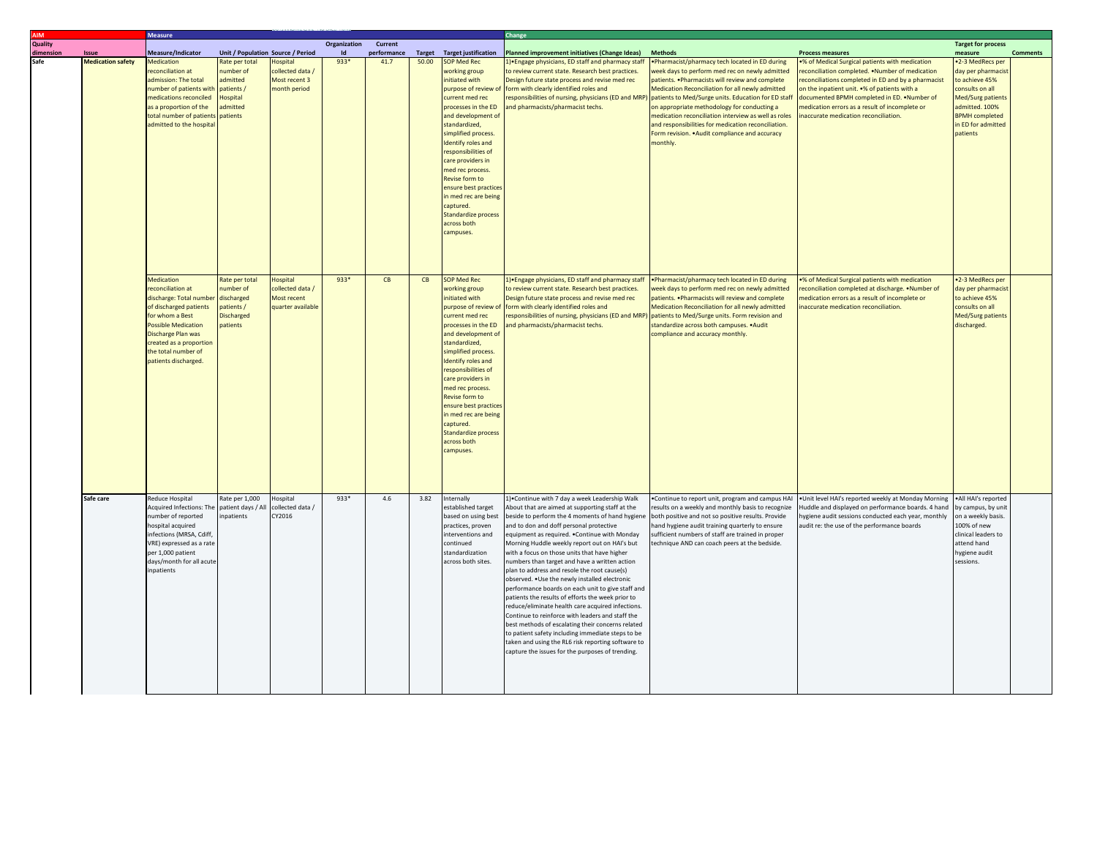|           |                                   | <b>Measure</b>                                |                                                     |                                |                     |                     |       |                                                   | Change                                                                                                |                                                                                                    |                                                                                                     |                                      |                 |
|-----------|-----------------------------------|-----------------------------------------------|-----------------------------------------------------|--------------------------------|---------------------|---------------------|-------|---------------------------------------------------|-------------------------------------------------------------------------------------------------------|----------------------------------------------------------------------------------------------------|-----------------------------------------------------------------------------------------------------|--------------------------------------|-----------------|
| Quality   |                                   |                                               |                                                     |                                | <b>Organization</b> | Current             |       |                                                   |                                                                                                       |                                                                                                    |                                                                                                     | <b>Target for process</b>            |                 |
| dimension | Issue<br><b>Medication safety</b> | Measure/Indicator<br><b>Medication</b>        | Unit / Population Source / Period<br>Rate per total | lospital                       | $933*$              | performance<br>41.7 | 50.00 | <b>Target</b> Target justification<br>SOP Med Rec | Planned improvement initiatives (Change Ideas)<br>1) • Engage physicians, ED staff and pharmacy staff | <b>Methods</b><br>• Pharmacist/pharmacy tech located in ED during                                  | <b>Process measures</b><br>% of Medical Surgical patients with medication                           | measure<br>.2-3 MedRecs per          | <b>Comments</b> |
|           |                                   | econciliation at                              | number of                                           | ollected data /                |                     |                     |       | vorking group                                     | to review current state. Research best practices.                                                     | week days to perform med rec on newly admitted                                                     | reconciliation completed. . Number of medication                                                    | day per pharmacist                   |                 |
|           |                                   | dmission: The total                           | admitted                                            | Most recent 3                  |                     |                     |       | initiated with                                    | Design future state process and revise med rec                                                        | patients. . Pharmacists will review and complete                                                   | econciliations completed in ED and by a pharmacist                                                  | to achieve 45%                       |                 |
|           |                                   | number of patients with patients /            |                                                     | nonth period                   |                     |                     |       | purpose of review of                              | form with clearly identified roles and                                                                | Medication Reconciliation for all newly admitted                                                   | on the inpatient unit. •% of patients with a                                                        | consults on all                      |                 |
|           |                                   | medications reconciled                        | Hospital                                            |                                |                     |                     |       | current med rec                                   | responsibilities of nursing, physicians (ED and MRP)                                                  | patients to Med/Surge units. Education for ED staff                                                | documented BPMH completed in ED. . Number of                                                        | Med/Surg patients                    |                 |
|           |                                   | as a proportion of the                        | admitted                                            |                                |                     |                     |       | processes in the ED                               | and pharmacists/pharmacist techs.                                                                     | on appropriate methodology for conducting a                                                        | nedication errors as a result of incomplete or                                                      | admitted. 100%                       |                 |
|           |                                   | total number of patients patients             |                                                     |                                |                     |                     |       | and development of                                |                                                                                                       | medication reconciliation interview as well as roles                                               | naccurate medication reconciliation.                                                                | <b>BPMH</b> completed                |                 |
|           |                                   | admitted to the hospita                       |                                                     |                                |                     |                     |       | standardized,                                     |                                                                                                       | and responsibilities for medication reconciliation.                                                |                                                                                                     | in ED for admitted                   |                 |
|           |                                   |                                               |                                                     |                                |                     |                     |       | simplified process.                               |                                                                                                       | Form revision. . Audit compliance and accuracy                                                     |                                                                                                     | patients                             |                 |
|           |                                   |                                               |                                                     |                                |                     |                     |       | Identify roles and<br>responsibilities of         |                                                                                                       | monthly.                                                                                           |                                                                                                     |                                      |                 |
|           |                                   |                                               |                                                     |                                |                     |                     |       | care providers in                                 |                                                                                                       |                                                                                                    |                                                                                                     |                                      |                 |
|           |                                   |                                               |                                                     |                                |                     |                     |       | med rec process.                                  |                                                                                                       |                                                                                                    |                                                                                                     |                                      |                 |
|           |                                   |                                               |                                                     |                                |                     |                     |       | Revise form to                                    |                                                                                                       |                                                                                                    |                                                                                                     |                                      |                 |
|           |                                   |                                               |                                                     |                                |                     |                     |       | ensure best practices                             |                                                                                                       |                                                                                                    |                                                                                                     |                                      |                 |
|           |                                   |                                               |                                                     |                                |                     |                     |       | in med rec are being                              |                                                                                                       |                                                                                                    |                                                                                                     |                                      |                 |
|           |                                   |                                               |                                                     |                                |                     |                     |       | captured.                                         |                                                                                                       |                                                                                                    |                                                                                                     |                                      |                 |
|           |                                   |                                               |                                                     |                                |                     |                     |       | Standardize process                               |                                                                                                       |                                                                                                    |                                                                                                     |                                      |                 |
|           |                                   |                                               |                                                     |                                |                     |                     |       | across both                                       |                                                                                                       |                                                                                                    |                                                                                                     |                                      |                 |
|           |                                   |                                               |                                                     |                                |                     |                     |       | campuses.                                         |                                                                                                       |                                                                                                    |                                                                                                     |                                      |                 |
|           |                                   |                                               |                                                     |                                |                     |                     |       |                                                   |                                                                                                       |                                                                                                    |                                                                                                     |                                      |                 |
|           |                                   |                                               |                                                     |                                |                     |                     |       |                                                   |                                                                                                       |                                                                                                    |                                                                                                     |                                      |                 |
|           |                                   |                                               |                                                     |                                |                     |                     |       |                                                   |                                                                                                       |                                                                                                    |                                                                                                     |                                      |                 |
|           |                                   |                                               |                                                     |                                |                     |                     |       |                                                   |                                                                                                       |                                                                                                    |                                                                                                     |                                      |                 |
|           |                                   | Medication                                    | Rate per total                                      | <b>Hospital</b>                | $933*$              | CB                  | CR    | <b>SOP Med Rec</b>                                | 1) Engage physicians, ED staff and pharmacy staff                                                     | . Pharmacist/pharmacy tech located in ED during                                                    | % of Medical Surgical patients with medication                                                      | .2-3 MedRecs per                     |                 |
|           |                                   | econciliation at<br>discharge: Total number   | umber of<br>discharged                              | collected data/<br>Most recent |                     |                     |       | working group<br>initiated with                   | to review current state. Research best practices.<br>Design future state process and revise med rec   | week days to perform med rec on newly admitted<br>patients. . Pharmacists will review and complete | econciliation completed at discharge. . Number of<br>nedication errors as a result of incomplete or | day per pharmacist<br>to achieve 45% |                 |
|           |                                   | of discharged patients                        | patients /                                          | quarter available              |                     |                     |       | purpose of review o                               | form with clearly identified roles and                                                                | Medication Reconciliation for all newly admitted                                                   | naccurate medication reconciliation.                                                                | consults on all                      |                 |
|           |                                   | for whom a Best                               | <b>Discharged</b>                                   |                                |                     |                     |       | current med rec                                   | responsibilities of nursing, physicians (ED and MRP)                                                  | patients to Med/Surge units. Form revision and                                                     |                                                                                                     | Med/Surg patients                    |                 |
|           |                                   | <b>Possible Medication</b>                    | patients                                            |                                |                     |                     |       | processes in the ED                               | and pharmacists/pharmacist techs.                                                                     | standardize across both campuses. . Audit                                                          |                                                                                                     | discharged.                          |                 |
|           |                                   | Discharge Plan was                            |                                                     |                                |                     |                     |       | and development of                                |                                                                                                       | ompliance and accuracy monthly.                                                                    |                                                                                                     |                                      |                 |
|           |                                   | reated as a proportion                        |                                                     |                                |                     |                     |       | standardized,                                     |                                                                                                       |                                                                                                    |                                                                                                     |                                      |                 |
|           |                                   | the total number of                           |                                                     |                                |                     |                     |       | simplified process.                               |                                                                                                       |                                                                                                    |                                                                                                     |                                      |                 |
|           |                                   | patients discharged.                          |                                                     |                                |                     |                     |       | Identify roles and                                |                                                                                                       |                                                                                                    |                                                                                                     |                                      |                 |
|           |                                   |                                               |                                                     |                                |                     |                     |       | responsibilities of                               |                                                                                                       |                                                                                                    |                                                                                                     |                                      |                 |
|           |                                   |                                               |                                                     |                                |                     |                     |       | care providers in                                 |                                                                                                       |                                                                                                    |                                                                                                     |                                      |                 |
|           |                                   |                                               |                                                     |                                |                     |                     |       | med rec process.                                  |                                                                                                       |                                                                                                    |                                                                                                     |                                      |                 |
|           |                                   |                                               |                                                     |                                |                     |                     |       | Revise form to                                    |                                                                                                       |                                                                                                    |                                                                                                     |                                      |                 |
|           |                                   |                                               |                                                     |                                |                     |                     |       | ensure best practices                             |                                                                                                       |                                                                                                    |                                                                                                     |                                      |                 |
|           |                                   |                                               |                                                     |                                |                     |                     |       | n med rec are being                               |                                                                                                       |                                                                                                    |                                                                                                     |                                      |                 |
|           |                                   |                                               |                                                     |                                |                     |                     |       | captured.<br>Standardize process                  |                                                                                                       |                                                                                                    |                                                                                                     |                                      |                 |
|           |                                   |                                               |                                                     |                                |                     |                     |       | across both                                       |                                                                                                       |                                                                                                    |                                                                                                     |                                      |                 |
|           |                                   |                                               |                                                     |                                |                     |                     |       | campuses.                                         |                                                                                                       |                                                                                                    |                                                                                                     |                                      |                 |
|           |                                   |                                               |                                                     |                                |                     |                     |       |                                                   |                                                                                                       |                                                                                                    |                                                                                                     |                                      |                 |
|           |                                   |                                               |                                                     |                                |                     |                     |       |                                                   |                                                                                                       |                                                                                                    |                                                                                                     |                                      |                 |
|           |                                   |                                               |                                                     |                                |                     |                     |       |                                                   |                                                                                                       |                                                                                                    |                                                                                                     |                                      |                 |
|           |                                   |                                               |                                                     |                                |                     |                     |       |                                                   |                                                                                                       |                                                                                                    |                                                                                                     |                                      |                 |
|           | Safe care                         | Reduce Hospital                               | Rate per 1,000                                      | <b>Hospital</b>                | 933*                | 4.6                 | 3.82  | Internally                                        | 1) Continue with 7 day a week Leadership Walk                                                         | . Continue to report unit, program and campus HAI                                                  | . Unit level HAI's reported weekly at Monday Morning                                                | .All HAI's reported                  |                 |
|           |                                   | Acquired Infections: The                      | patient days / All                                  | collected data/                |                     |                     |       | established target                                | About that are aimed at supporting staff at the                                                       | results on a weekly and monthly basis to recognize                                                 | Huddle and displayed on performance boards. 4 hand                                                  | by campus, by unit                   |                 |
|           |                                   | umber of reported                             | inpatients                                          | CY2016                         |                     |                     |       | based on using best                               | beside to perform the 4 moments of hand hygien                                                        | both positive and not so positive results. Provide                                                 | nygiene audit sessions conducted each year, monthly                                                 | on a weekly basis.                   |                 |
|           |                                   | hospital acquired                             |                                                     |                                |                     |                     |       | practices, proven                                 | and to don and doff personal protective                                                               | hand hygiene audit training quarterly to ensure                                                    | audit re: the use of the performance boards                                                         | 100% of new                          |                 |
|           |                                   | nfections (MRSA, Cdiff,                       |                                                     |                                |                     |                     |       | nterventions and                                  | equipment as required. . Continue with Monday                                                         | sufficient numbers of staff are trained in proper                                                  |                                                                                                     | clinical leaders to                  |                 |
|           |                                   | /RE) expressed as a rate<br>per 1,000 patient |                                                     |                                |                     |                     |       | continued<br>tandardization                       | Morning Huddle weekly report out on HAI's but<br>with a focus on those units that have higher         | technique AND can coach peers at the bedside.                                                      |                                                                                                     | attend hand<br>hygiene audit         |                 |
|           |                                   | days/month for all acute                      |                                                     |                                |                     |                     |       | across both sites.                                | numbers than target and have a written action                                                         |                                                                                                    |                                                                                                     | sessions.                            |                 |
|           |                                   | npatients                                     |                                                     |                                |                     |                     |       |                                                   | plan to address and resole the root cause(s)                                                          |                                                                                                    |                                                                                                     |                                      |                 |
|           |                                   |                                               |                                                     |                                |                     |                     |       |                                                   | observed. . Use the newly installed electronic                                                        |                                                                                                    |                                                                                                     |                                      |                 |
|           |                                   |                                               |                                                     |                                |                     |                     |       |                                                   | performance boards on each unit to give staff and                                                     |                                                                                                    |                                                                                                     |                                      |                 |
|           |                                   |                                               |                                                     |                                |                     |                     |       |                                                   | patients the results of efforts the week prior to                                                     |                                                                                                    |                                                                                                     |                                      |                 |
|           |                                   |                                               |                                                     |                                |                     |                     |       |                                                   | reduce/eliminate health care acquired infections.                                                     |                                                                                                    |                                                                                                     |                                      |                 |
|           |                                   |                                               |                                                     |                                |                     |                     |       |                                                   | Continue to reinforce with leaders and staff the                                                      |                                                                                                    |                                                                                                     |                                      |                 |
|           |                                   |                                               |                                                     |                                |                     |                     |       |                                                   | best methods of escalating their concerns related                                                     |                                                                                                    |                                                                                                     |                                      |                 |
|           |                                   |                                               |                                                     |                                |                     |                     |       |                                                   | to patient safety including immediate steps to be                                                     |                                                                                                    |                                                                                                     |                                      |                 |
|           |                                   |                                               |                                                     |                                |                     |                     |       |                                                   | taken and using the RL6 risk reporting software to                                                    |                                                                                                    |                                                                                                     |                                      |                 |
|           |                                   |                                               |                                                     |                                |                     |                     |       |                                                   | capture the issues for the purposes of trending.                                                      |                                                                                                    |                                                                                                     |                                      |                 |
|           |                                   |                                               |                                                     |                                |                     |                     |       |                                                   |                                                                                                       |                                                                                                    |                                                                                                     |                                      |                 |
|           |                                   |                                               |                                                     |                                |                     |                     |       |                                                   |                                                                                                       |                                                                                                    |                                                                                                     |                                      |                 |
|           |                                   |                                               |                                                     |                                |                     |                     |       |                                                   |                                                                                                       |                                                                                                    |                                                                                                     |                                      |                 |
|           |                                   |                                               |                                                     |                                |                     |                     |       |                                                   |                                                                                                       |                                                                                                    |                                                                                                     |                                      |                 |